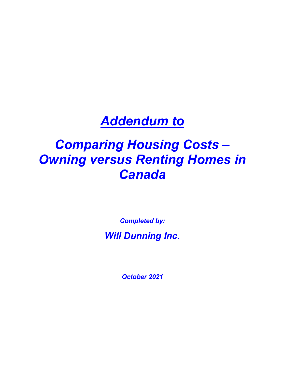# **Addendum to**

# Comparing Housing Costs – Owning versus Renting Homes in Canada

Completed by: Will Dunning Inc.

October 2021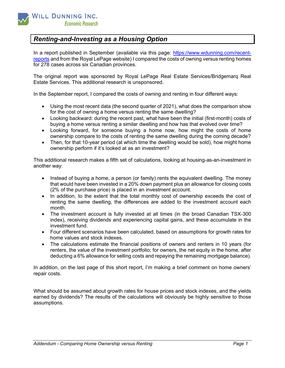

## Renting-and-Investing as a Housing Option

In a report published in September (available via this page: https://www.wdunning.com/recentreports and from the Royal LePage website) I compared the costs of owning versus renting homes for 278 cases across six Canadian provinces.

The original report was sponsored by Royal LePage Real Estate Services/Bridgemarq Real Estate Services. This additional research is unsponsored.

In the September report, I compared the costs of owning and renting in four different ways:

- Using the most recent data (the second quarter of 2021), what does the comparison show for the cost of owning a home versus renting the same dwelling?
- Looking backward: during the recent past, what have been the initial (first-month) costs of buying a home versus renting a similar dwelling and how has that evolved over time?
- Looking forward, for someone buying a home now, how might the costs of home ownership compare to the costs of renting the same dwelling during the coming decade?
- Then, for that 10-year period (at which time the dwelling would be sold), how might home ownership perform if it's looked at as an investment?

This additional research makes a fifth set of calculations, looking at housing-as-an-investment in another way:

- Instead of buying a home, a person (or family) rents the equivalent dwelling. The money that would have been invested in a 20% down payment plus an allowance for closing costs (2% of the purchase price) is placed in an investment account.
- In addition, to the extent that the total monthly cost of ownership exceeds the cost of renting the same dwelling, the differences are added to the investment account each month.
- The investment account is fully invested at all times (in the broad Canadian TSX-300 index), receiving dividends and experiencing capital gains, and these accumulate in the investment fund.
- Four different scenarios have been calculated, based on assumptions for growth rates for home values and stock indexes.
- The calculations estimate the financial positions of owners and renters in 10 years (for renters, the value of the investment portfolio; for owners, the net equity in the home, after deducting a 6% allowance for selling costs and repaying the remaining mortgage balance).

In addition, on the last page of this short report, I'm making a brief comment on home owners' repair costs.

What should be assumed about growth rates for house prices and stock indexes, and the yields earned by dividends? The results of the calculations will obviously be highly sensitive to those assumptions.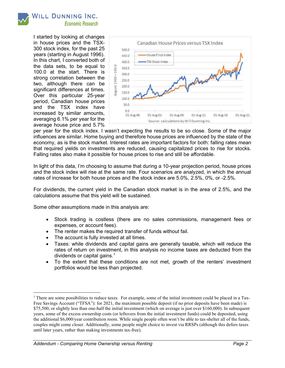I started by looking at changes in house prices and the TSX-300 stock index, for the past 25 years (starting in August 1996). In this chart, I converted both of the data sets, to be equal to 100.0 at the start. There is strong correlation between the two, although there can be significant differences at times. Over this particular 25-year period, Canadian house prices and the TSX index have increased by similar amounts, averaging 6.1% per year for the average house price and 5.7%



per year for the stock index. I wasn't expecting the results to be so close. Some of the major influences are similar. Home buying and therefore house prices are influenced by the state of the economy, as is the stock market. Interest rates are important factors for both: falling rates mean that required yields on investments are reduced, causing capitalized prices to rise for stocks. Falling rates also make it possible for house prices to rise and still be affordable.

In light of this data, I'm choosing to assume that during a 10-year projection period, house prices and the stock index will rise at the same rate. Four scenarios are analyzed, in which the annual rates of increase for both house prices and the stock index are 5.0%, 2.5%, 0%, or -2.5%.

For dividends, the current yield in the Canadian stock market is in the area of 2.5%, and the calculations assume that this yield will be sustained.

Some other assumptions made in this analysis are:

- Stock trading is costless (there are no sales commissions, management fees or expenses, or account fees).
- The renter makes the required transfer of funds without fail.
- The account is fully invested at all times.
- Taxes: while dividends and capital gains are generally taxable, which will reduce the rates of return on investment, in this analysis no income taxes are deducted from the dividends or capital gains.<sup>1</sup>
- To the extent that these conditions are not met, growth of the renters' investment portfolios would be less than projected.

<sup>&</sup>lt;sup>1</sup> There are some possibilities to reduce taxes. For example, some of the initial investment could be placed in a Tax-Free Savings Account ("TFSA"): for 2021, the maximum possible deposit (if no prior deposits have been made) is \$75,500, or slightly less than one-half the initial investment (which on average is just over \$160,000). In subsequent years, some of the excess ownership costs (or leftovers from the initial investment funds) could be deposited, using the additional \$6,000/year contribution room. While single people often won't be able to tax-shelter all of the funds, couples might come closer. Additionally, some people might choice to invest via RRSPs (although this defers taxes until later years, rather than making investments tax-free).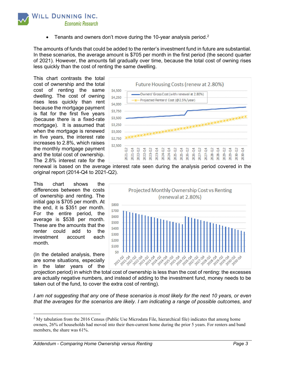

**•** Tenants and owners don't move during the 10-year analysis period.<sup>2</sup>

The amounts of funds that could be added to the renter's investment fund in future are substantial. In these scenarios, the average amount is \$705 per month in the first period (the second quarter of 2021). However, the amounts fall gradually over time, because the total cost of owning rises less quickly than the cost of renting the same dwelling.

This chart contrasts the total cost of ownership and the total cost of renting the same dwelling. The cost of owning rises less quickly than rent because the mortgage payment is flat for the first five years (because there is a fixed-rate mortgage). It is assumed that when the mortgage is renewed in five years, the interest rate increases to 2.8%, which raises the monthly mortgage payment and the total cost of ownership. The 2.8% interest rate for the



renewal is based on the average interest rate seen during the analysis period covered in the original report (2014-Q4 to 2021-Q2).

This chart shows the differences between the costs of ownership and renting. The initial gap is \$705 per month. At the end, it is \$351 per month. For the entire period, the average is \$538 per month. These are the amounts that the renter could add to the investment account each month.

(In the detailed analysis, there are some situations, especially in the later years of the



projection period) in which the total cost of ownership is less than the cost of renting: the excesses are actually negative numbers, and instead of adding to the investment fund, money needs to be taken out of the fund, to cover the extra cost of renting).

I am not suggesting that any one of these scenarios is most likely for the next 10 years, or even that the averages for the scenarios are likely. I am indicating a range of possible outcomes, and

<sup>&</sup>lt;sup>2</sup> My tabulation from the 2016 Census (Public Use Microdata File, hierarchical file) indicates that among home owners, 26% of households had moved into their then-current home during the prior 5 years. For renters and band members, the share was 61%.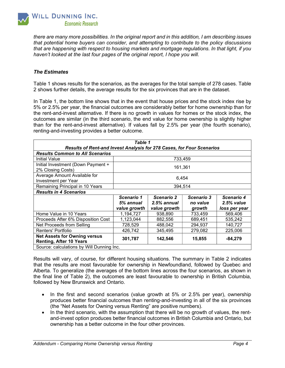

there are many more possibilities. In the original report and in this addition, I am describing issues that potential home buyers can consider, and attempting to contribute to the policy discussions that are happening with respect to housing markets and mortgage regulations. In that light, if you haven't looked at the last four pages of the original report, I hope you will.

### The Estimates

Table 1 shows results for the scenarios, as the averages for the total sample of 278 cases. Table 2 shows further details, the average results for the six provinces that are in the dataset.

In Table 1, the bottom line shows that in the event that house prices and the stock index rise by 5% or 2.5% per year, the financial outcomes are considerably better for home ownership than for the rent-and-invest alternative. If there is no growth in values for homes or the stock index, the outcomes are similar (in the third scenario, the end value for home ownership is slightly higher than for the rent-and-invest alternative). If values fall by 2.5% per year (the fourth scenario), renting-and-investing provides a better outcome.

| Table 1                                                               |              |               |            |               |  |  |  |  |  |  |
|-----------------------------------------------------------------------|--------------|---------------|------------|---------------|--|--|--|--|--|--|
| Results of Rent-and Invest Analysis for 278 Cases, for Four Scenarios |              |               |            |               |  |  |  |  |  |  |
| <b>Results Common to All Scenarios</b>                                |              |               |            |               |  |  |  |  |  |  |
| Initial Value                                                         | 733,459      |               |            |               |  |  |  |  |  |  |
| Initial Investment (Down Payment +<br>2% Closing Costs)               | 161,361      |               |            |               |  |  |  |  |  |  |
| Average Amount Available for<br>Investment per Year                   | 6,454        |               |            |               |  |  |  |  |  |  |
| Remaining Principal in 10 Years                                       | 394,514      |               |            |               |  |  |  |  |  |  |
| <b>Results in 4 Scenarios</b>                                         |              |               |            |               |  |  |  |  |  |  |
|                                                                       | Scenario 1   | Scenario 2    | Scenario 3 | Scenario 4    |  |  |  |  |  |  |
|                                                                       | 5% annual    | $2.5%$ annual | no value   | $2.5%$ value  |  |  |  |  |  |  |
|                                                                       | value growth | value growth  | growth     | loss per year |  |  |  |  |  |  |
| Home Value in 10 Years                                                | 1,194,727    | 938,890       | 733,459    | 569,406       |  |  |  |  |  |  |
| Proceeds After 6% Disposition Cost                                    | 1,123,044    | 882,556       | 689,451    | 535,242       |  |  |  |  |  |  |
| Net Proceeds from Selling                                             | 728,529      | 488,042       | 294,937    | 140,727       |  |  |  |  |  |  |
| Renters' Portfolio                                                    | 426,742      | 345,495       | 279,082    | 225,006       |  |  |  |  |  |  |
| <b>Net Assets for Owning versus</b><br><b>Renting, After 10 Years</b> | 301,787      | 142,546       | 15,855     | $-84,279$     |  |  |  |  |  |  |
| Source: calculations by Will Dunning Inc.                             |              |               |            |               |  |  |  |  |  |  |

Results will vary, of course, for different housing situations. The summary in Table 2 indicates that the results are most favourable for ownership in Newfoundland, followed by Quebec and Alberta. To generalize (the averages of the bottom lines across the four scenarios, as shown in the final line of Table 2), the outcomes are least favourable to ownership in British Columbia, followed by New Brunswick and Ontario.

- In the first and second scenarios (value growth at 5% or 2.5% per year), ownership produces better financial outcomes than renting-and-investing in all of the six provinces (the "Net Assets for Owning versus Renting" are positive numbers).
- In the third scenario, with the assumption that there will be no growth of values, the rentand-invest option produces better financial outcomes in British Columbia and Ontario, but ownership has a better outcome in the four other provinces.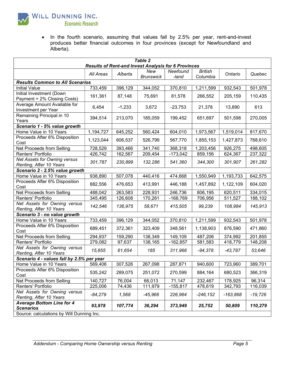

**Economic Research** 

• In the fourth scenario, assuming that values fall by 2.5% per year, rent-and-invest produces better financial outcomes in four provinces (except for Newfoundland and Alberta).

| Table 2<br><b>Results of Rent-and Invest Analysis for 6 Provinces</b> |           |          |                         |                   |                            |            |           |  |  |  |
|-----------------------------------------------------------------------|-----------|----------|-------------------------|-------------------|----------------------------|------------|-----------|--|--|--|
|                                                                       | All Areas | Alberta  | New<br><b>Brunswick</b> | Newfound<br>-land | <b>British</b><br>Columbia | Ontario    | Quebec    |  |  |  |
| <b>Results Common to All Scenarios</b>                                |           |          |                         |                   |                            |            |           |  |  |  |
| <b>Initial Value</b>                                                  | 733,459   | 396,129  | 344,052                 | 370,810           | 1,211,599                  | 932,543    | 501,978   |  |  |  |
| Initial Investment (Down<br>Payment + 2% Closing Costs)               | 161,361   | 87,148   | 75,691                  | 81,578            | 266,552                    | 205,159    | 110,435   |  |  |  |
| Average Amount Available for<br>Investment per Year                   | 6,454     | $-1,233$ | 3,672                   | $-23,753$         | 21,378                     | 13,890     | 613       |  |  |  |
| Remaining Principal in 10<br>Years                                    | 394,514   | 213,070  | 185,059                 | 199,452           | 651,697                    | 501,598    | 270,005   |  |  |  |
| Scenario 1 - 5% value growth                                          |           |          |                         |                   |                            |            |           |  |  |  |
| Home Value in 10 Years                                                | 1,194,727 | 645,252  | 560,424                 | 604,010           | 1,973,567                  | 1,519,014  | 817,670   |  |  |  |
| Proceeds After 6% Disposition<br>Cost                                 | 1,123,044 | 606,537  | 526,799                 | 567,770           | 1,855,153                  | 1,427,873  | 768,610   |  |  |  |
| Net Proceeds from Selling                                             | 728,529   | 393,466  | 341,740                 | 368,318           | $\overline{1,}203,456$     | 926,275    | 498,605   |  |  |  |
| Renters' Portfolio                                                    | 426,742   | 162,567  | 209,454                 | $-173,042$        | 859,156                    | 624,367    | 237,322   |  |  |  |
| <b>Net Assets for Owning versus</b><br>Renting, After 10 Years        | 301,787   | 230,899  | 132,286                 | 541,360           | 344,300                    | 301,907    | 261,282   |  |  |  |
| Scenario 2 - 2.5% value growth                                        |           |          |                         |                   |                            |            |           |  |  |  |
| Home Value in 10 Years                                                | 938,890   | 507,078  | 440,416                 | 474,668           | 1,550,949                  | 1,193,733  | 642,575   |  |  |  |
| Proceeds After 6% Disposition<br>Cost                                 | 882,556   | 476,653  | 413,991                 | 446,188           | 1,457,892                  | 1,122,109  | 604,020   |  |  |  |
| Net Proceeds from Selling                                             | 488,042   | 263,583  | 228,931                 | 246,736           | 806,195                    | 620,511    | 334,015   |  |  |  |
| Renters' Portfolio                                                    | 345,495   | 126,608  | 170,261                 | $-168,769$        | 706,956                    | 511,527    | 188,102   |  |  |  |
| Net Assets for Owning versus<br>Renting, After 10 Years               | 142,546   | 136,975  | 58,671                  | 415,505           | 99,239                     | 108,984    | 145,913   |  |  |  |
| Scenario 3 - no value growth                                          |           |          |                         |                   |                            |            |           |  |  |  |
| Home Value in 10 Years                                                | 733,459   | 396,129  | 344,052                 | 370,810           | 1,211,599                  | 932,543    | 501,978   |  |  |  |
| Proceeds After 6% Disposition<br>Cost                                 | 689,451   | 372,361  | 323,409                 | 348,561           | 1,138,903                  | 876,590    | 471,860   |  |  |  |
| Net Proceeds from Selling                                             | 294,937   | 159,290  | 138,349                 | 149,109           | 487,206                    | 374,992    | 201,855   |  |  |  |
| Renters' Portfolio                                                    | 279,082   | 97,637   | 138,165                 | $-162,857$        | 581,583                    | 418,779    | 148,208   |  |  |  |
| Net Assets for Owning versus<br>Renting, After 10 Years               | 15,855    | 61,654   | 185                     | 311,966           | $-94,378$                  | $-43,787$  | 53,646    |  |  |  |
| Scenario 4 - values fall by 2.5% per year                             |           |          |                         |                   |                            |            |           |  |  |  |
| Home Value in 10 Years                                                | 569,406   | 307,526  | 267,098                 | 287,871           | 940,600                    | 723.960    | 389,701   |  |  |  |
| Proceeds After 6% Disposition<br>Cost                                 | 535,242   | 289,075  | 251,072                 | 270,599           | 884,164                    | 680,523    | 366,319   |  |  |  |
| Net Proceeds from Selling                                             | 140,727   | 76,004   | 66,013                  | 71,147            | 232,467                    | 178,925    | 96,314    |  |  |  |
| Renters' Portfolio                                                    | 225,006   | 74,436   | 111,979                 | $-155,817$        | 478,619                    | 342,793    | 116,039   |  |  |  |
| Net Assets for Owning versus<br>Renting, After 10 Years               | $-84,279$ | 1,568    | $-45,966$               | 226,964           | $-246, 152$                | $-163,868$ | $-19,726$ |  |  |  |
| <b>Average Bottom Line for 4</b><br><b>Scenarios</b>                  | 93,978    | 107,774  | 36,294                  | 373,949           | 25,752                     | 50,809     | 110,279   |  |  |  |
| Source: calculations by Will Dunning Inc.                             |           |          |                         |                   |                            |            |           |  |  |  |